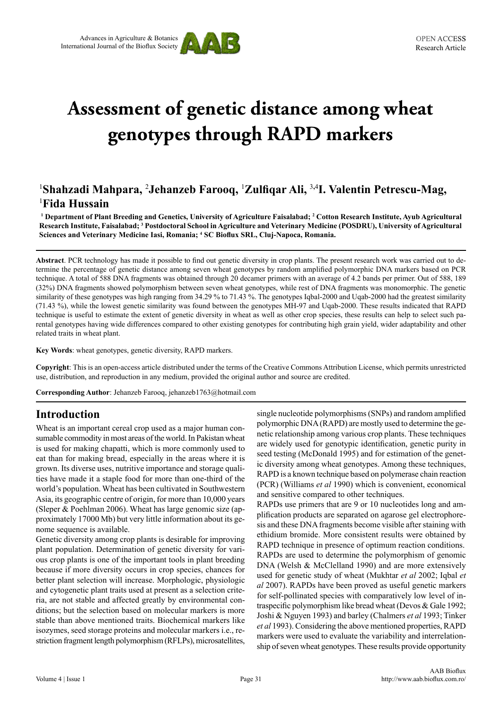

# **Assessment of genetic distance among wheat genotypes through RAPD markers**

# 1 **Shahzadi Mahpara,** <sup>2</sup> **Jehanzeb Farooq,** <sup>1</sup> **Zulfiqar Ali,** <sup>3</sup>**,**<sup>4</sup> **I. Valentin Petrescu-Mag,**  1 **Fida Hussain**

**1 Department of Plant Breeding and Genetics, University of Agriculture Faisalabad; <sup>2</sup> Cotton Research Institute, Ayub Agricultural Research Institute, Faisalabad; <sup>3</sup> Postdoctoral School in Agriculture and Veterinary Medicine (POSDRU), University of Agricultural Sciences and Veterinary Medicine Iasi, Romania; <sup>4</sup> SC Bioflux SRL, Cluj-Napoca, Romania.**

**Abstract**. PCR technology has made it possible to find out genetic diversity in crop plants. The present research work was carried out to determine the percentage of genetic distance among seven wheat genotypes by random amplified polymorphic DNA markers based on PCR technique. A total of 588 DNA fragments was obtained through 20 decamer primers with an average of 4.2 bands per primer. Out of 588, 189 (32%) DNA fragments showed polymorphism between seven wheat genotypes, while rest of DNA fragments was monomorphic. The genetic similarity of these genotypes was high ranging from 34.29 % to 71.43 %. The genotypes Iqbal-2000 and Uqab-2000 had the greatest similarity (71.43 %), while the lowest genetic similarity was found between the genotypes MH-97 and Uqab-2000. These results indicated that RAPD technique is useful to estimate the extent of genetic diversity in wheat as well as other crop species, these results can help to select such parental genotypes having wide differences compared to other existing genotypes for contributing high grain yield, wider adaptability and other related traits in wheat plant.

**Key Words**: wheat genotypes, genetic diversity, RAPD markers.

**Copyright**: This is an open-access article distributed under the terms of the Creative Commons Attribution License, which permits unrestricted use, distribution, and reproduction in any medium, provided the original author and source are credited.

**Corresponding Author**: Jehanzeb Farooq, jehanzeb1763@hotmail.com

## **Introduction**

Wheat is an important cereal crop used as a major human consumable commodity in most areas of the world. In Pakistan wheat is used for making chapatti, which is more commonly used to eat than for making bread, especially in the areas where it is grown. Its diverse uses, nutritive importance and storage qualities have made it a staple food for more than one-third of the world's population. Wheat has been cultivated in Southwestern Asia, its geographic centre of origin, for more than 10,000 years (Sleper & Poehlman 2006). Wheat has large genomic size (approximately 17000 Mb) but very little information about its genome sequence is available.

Genetic diversity among crop plants is desirable for improving plant population. Determination of genetic diversity for various crop plants is one of the important tools in plant breeding because if more diversity occurs in crop species, chances for better plant selection will increase. Morphologic, physiologic and cytogenetic plant traits used at present as a selection criteria, are not stable and affected greatly by environmental conditions; but the selection based on molecular markers is more stable than above mentioned traits. Biochemical markers like isozymes, seed storage proteins and molecular markers i.e., restriction fragment length polymorphism (RFLPs), microsatellites,

single nucleotide polymorphisms (SNPs) and random amplified polymorphic DNA (RAPD) are mostly used to determine the genetic relationship among various crop plants. These techniques are widely used for genotypic identification, genetic purity in seed testing (McDonald 1995) and for estimation of the genetic diversity among wheat genotypes. Among these techniques, RAPD is a known technique based on polymerase chain reaction (PCR) (Williams *et al* 1990) which is convenient, economical and sensitive compared to other techniques.

RAPDs use primers that are 9 or 10 nucleotides long and amplification products are separated on agarose gel electrophoresis and these DNA fragments become visible after staining with ethidium bromide. More consistent results were obtained by RAPD technique in presence of optimum reaction conditions. RAPDs are used to determine the polymorphism of genomic DNA (Welsh & McClelland 1990) and are more extensively used for genetic study of wheat (Mukhtar *et al* 2002; Iqbal *et al* 2007). RAPDs have been proved as useful genetic markers for self-pollinated species with comparatively low level of intraspecific polymorphism like bread wheat (Devos & Gale 1992; Joshi & Nguyen 1993) and barley (Chalmers *et al* 1993; Tinker *et al* 1993). Considering the above mentioned properties, RAPD markers were used to evaluate the variability and interrelationship of seven wheat genotypes. These results provide opportunity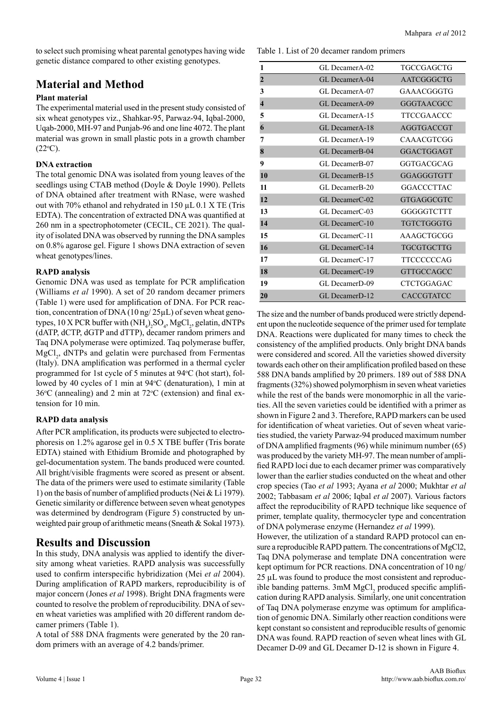to select such promising wheat parental genotypes having wide genetic distance compared to other existing genotypes.

## **Material and Method**

#### **Plant material**

The experimental material used in the present study consisted of six wheat genotypes viz., Shahkar-95, Parwaz-94, Iqbal-2000, Uqab-2000, MH-97 and Punjab-96 and one line 4072. The plant material was grown in small plastic pots in a growth chamber  $(22^{\circ}C).$ 

#### **DNA extraction**

The total genomic DNA was isolated from young leaves of the seedlings using CTAB method (Doyle & Doyle 1990). Pellets of DNA obtained after treatment with RNase, were washed out with 70% ethanol and rehydrated in 150 µL 0.1 X TE (Tris EDTA). The concentration of extracted DNA was quantified at 260 nm in a spectrophotometer (CECIL, CE 2021). The quality of isolated DNA was observed by running the DNA samples on 0.8% agarose gel. Figure 1 shows DNA extraction of seven wheat genotypes/lines.

#### **RAPD analysis**

Genomic DNA was used as template for PCR amplification (Williams *et al* 1990). A set of 20 random decamer primers (Table 1) were used for amplification of DNA. For PCR reaction, concentration of DNA (10 ng/ 25µL) of seven wheat genotypes, 10 X PCR buffer with  $(\text{NH}_4)_2\text{SO}_4$ , MgCl<sub>2</sub>, gelatin, dNTPs (dATP, dCTP, dGTP and dTTP), decamer random primers and Taq DNA polymerase were optimized. Taq polymerase buffer,  $MgCl<sub>2</sub>$ , dNTPs and gelatin were purchased from Fermentas (Italy). DNA amplification was performed in a thermal cycler programmed for 1st cycle of 5 minutes at 94°C (hot start), followed by 40 cycles of 1 min at 94 °C (denaturation), 1 min at  $36^{\circ}$ C (annealing) and 2 min at  $72^{\circ}$ C (extension) and final extension for 10 min.

#### **RAPD data analysis**

After PCR amplification, its products were subjected to electrophoresis on 1.2% agarose gel in 0.5 X TBE buffer (Tris borate EDTA) stained with Ethidium Bromide and photographed by gel-documentation system. The bands produced were counted. All bright/visible fragments were scored as present or absent. The data of the primers were used to estimate similarity (Table 1) on the basis of number of amplified products (Nei & Li 1979). Genetic similarity or difference between seven wheat genotypes was determined by dendrogram (Figure 5) constructed by unweighted pair group of arithmetic means (Sneath & Sokal 1973).

## **Results and Discussion**

In this study, DNA analysis was applied to identify the diversity among wheat varieties. RAPD analysis was successfully used to confirm interspecific hybridization (Mei *et al* 2004). During amplification of RAPD markers, reproducibility is of major concern (Jones *et al* 1998). Bright DNA fragments were counted to resolve the problem of reproducibility. DNA of seven wheat varieties was amplified with 20 different random decamer primers (Table 1).

A total of 588 DNA fragments were generated by the 20 random primers with an average of 4.2 bands/primer.

Table 1. List of 20 decamer random primers

| 1                   | GL DecamerA-02              | TGCCGAGCTG        |
|---------------------|-----------------------------|-------------------|
| $\overline{2}$      | GL DecamerA-04              | AATCGGGCTG        |
| 3                   | GL DecamerA-07              | GAAACGGGTG        |
| $\overline{\bf{4}}$ | GL DecamerA-09              | GGGTAACGCC        |
| 5                   | GL DecamerA-15              | TTCCGAACCC        |
| 6                   | GL DecamerA-18              | AGGTGACCGT        |
| 7                   | GL DecamerA-19              | CAAACGTCGG        |
| 8                   | GL DecamerB-04              | GGACTGGAGT        |
| 9                   | GL DecamerB-07              | GGTGACGCAG        |
| 10                  | GL Decamer <sub>B</sub> -15 | GGAGGGTGTT        |
| 11                  | GL DecamerB-20              | <b>GGACCCTTAC</b> |
| 12                  | GL DecamerC-02              | <b>GTGAGGCGTC</b> |
| 13                  | GL DecamerC-03              | GGGGGTCTTT        |
| 14                  | GL DecamerC-10              | <b>TGTCTGGGTG</b> |
| 15                  | GL DecamerC-11              | AAAGCTGCGG        |
| 16                  | GL DecamerC-14              | <b>TGCGTGCTTG</b> |
| 17                  | GL DecamerC-17              | TTCCCCCCAG        |
| 18                  | GL DecamerC-19              | <b>GTTGCCAGCC</b> |
| 19                  | GL DecamerD-09              | <b>CTCTGGAGAC</b> |
| 20                  | GL Decamer <sub>D</sub> -12 | <b>CACCGTATCC</b> |

The size and the number of bands produced were strictly dependent upon the nucleotide sequence of the primer used for template DNA. Reactions were duplicated for many times to check the consistency of the amplified products. Only bright DNA bands were considered and scored. All the varieties showed diversity towards each other on their amplification profiled based on these 588 DNA bands amplified by 20 primers. 189 out of 588 DNA fragments (32%) showed polymorphism in seven wheat varieties while the rest of the bands were monomorphic in all the varieties. All the seven varieties could be identified with a primer as shown in Figure 2 and 3. Therefore, RAPD markers can be used for identification of wheat varieties. Out of seven wheat varieties studied, the variety Parwaz-94 produced maximum number of DNA amplified fragments (96) while minimum number (65) was produced by the variety MH-97. The mean number of amplified RAPD loci due to each decamer primer was comparatively lower than the earlier studies conducted on the wheat and other crop species (Tao *et al* 1993; Ayana *et al* 2000; Mukhtar *et al* 2002; Tabbasam *et al* 2006; Iqbal *et al* 2007). Various factors affect the reproducibility of RAPD technique like sequence of primer, template quality, thermocycler type and concentration of DNA polymerase enzyme (Hernandez *et al* 1999).

However, the utilization of a standard RAPD protocol can ensure a reproducible RAPD pattern. The concentrations of MgCl2, Taq DNA polymerase and template DNA concentration were kept optimum for PCR reactions. DNA concentration of 10 ng/ 25 µL was found to produce the most consistent and reproducible banding patterns.  $3mM MgCl<sub>2</sub>$  produced specific amplification during RAPD analysis. Similarly, one unit concentration of Taq DNA polymerase enzyme was optimum for amplification of genomic DNA. Similarly other reaction conditions were kept constant so consistent and reproducible results of genomic DNA was found. RAPD reaction of seven wheat lines with GL Decamer D-09 and GL Decamer D-12 is shown in Figure 4.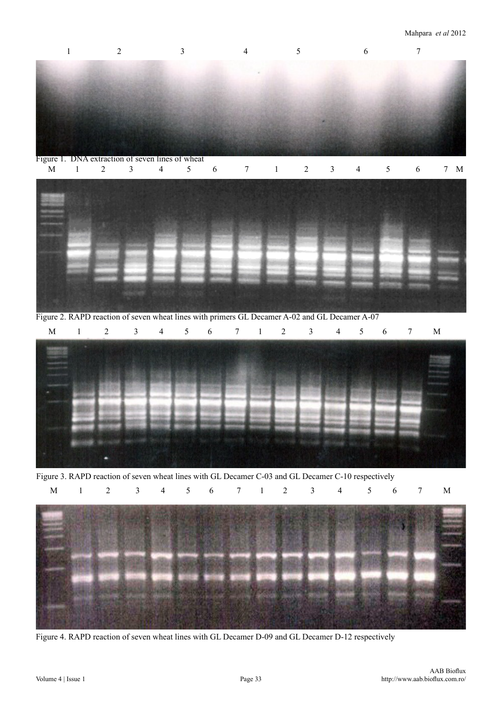

Figure 2. RAPD reaction of seven wheat lines with primers GL Decamer A-02 and GL Decamer A-07 M 1 2 3 4 5 6 7 1 2 3 4 5 6 7 M



Figure 3. RAPD reaction of seven wheat lines with GL Decamer C-03 and GL Decamer C-10 respectively



Figure 4. RAPD reaction of seven wheat lines with GL Decamer D-09 and GL Decamer D-12 respectively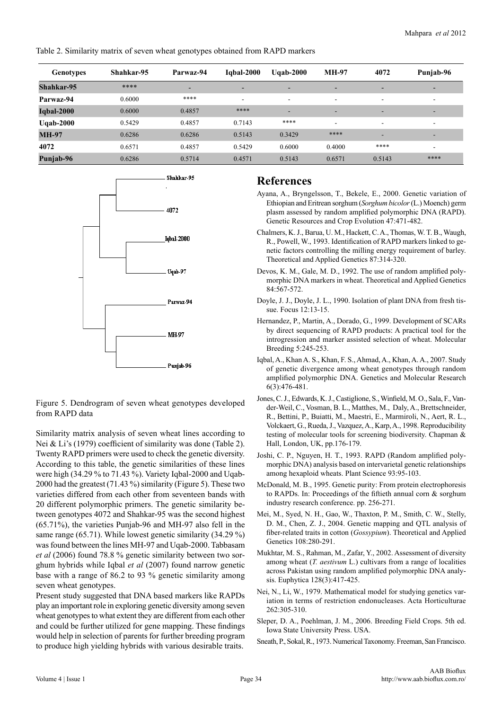Table 2. Similarity matrix of seven wheat genotypes obtained from RAPD markers

| <b>Genotypes</b>  | Shahkar-95 | Parwaz-94                | <b>Iqbal-2000</b> | Ugab- $2000$             | <b>MH-97</b>             | 4072                     | Punjab-96                |
|-------------------|------------|--------------------------|-------------------|--------------------------|--------------------------|--------------------------|--------------------------|
| Shahkar-95        | ****       | $\overline{\phantom{a}}$ | -                 | $\overline{\phantom{0}}$ | $\overline{\phantom{0}}$ | $\overline{\phantom{0}}$ | -                        |
| Parwaz-94         | 0.6000     | ****                     | ۰                 | ۰                        | $\overline{\phantom{a}}$ | $\overline{\phantom{a}}$ | ۰                        |
| <b>Iqbal-2000</b> | 0.6000     | 0.4857                   | ****              | -                        | $\overline{\phantom{0}}$ | $\overline{\phantom{a}}$ | $\overline{\phantom{a}}$ |
| Uqab-2000         | 0.5429     | 0.4857                   | 0.7143            | ****                     | $\overline{\phantom{a}}$ | $\overline{\phantom{a}}$ | $\blacksquare$           |
| <b>MH-97</b>      | 0.6286     | 0.6286                   | 0.5143            | 0.3429                   | ****                     | $\overline{\phantom{0}}$ | -                        |
| 4072              | 0.6571     | 0.4857                   | 0.5429            | 0.6000                   | 0.4000                   | ****                     | ۰                        |
| Punjab-96         | 0.6286     | 0.5714                   | 0.4571            | 0.5143                   | 0.6571                   | 0.5143                   | ****                     |



Figure 5. Dendrogram of seven wheat genotypes developed from RAPD data

Similarity matrix analysis of seven wheat lines according to Nei & Li's (1979) coefficient of similarity was done (Table 2). Twenty RAPD primers were used to check the genetic diversity. According to this table, the genetic similarities of these lines were high (34.29 % to 71.43 %). Variety Iqbal-2000 and Uqab-2000 had the greatest (71.43 %) similarity (Figure 5). These two varieties differed from each other from seventeen bands with 20 different polymorphic primers. The genetic similarity between genotypes 4072 and Shahkar-95 was the second highest (65.71%), the varieties Punjab-96 and MH-97 also fell in the same range (65.71). While lowest genetic similarity (34.29 %) was found between the lines MH-97 and Uqab-2000. Tabbasam *et al* (2006) found 78.8 % genetic similarity between two sorghum hybrids while Iqbal *et al* (2007) found narrow genetic base with a range of 86.2 to 93 % genetic similarity among seven wheat genotypes.

Present study suggested that DNA based markers like RAPDs play an important role in exploring genetic diversity among seven wheat genotypes to what extent they are different from each other and could be further utilized for gene mapping. These findings would help in selection of parents for further breeding program to produce high yielding hybrids with various desirable traits.

## **References**

- Ayana, A., Bryngelsson, T., Bekele, E., 2000. Genetic variation of Ethiopian and Eritrean sorghum (*Sorghum bicolor* (L.) Moench) germ plasm assessed by random amplified polymorphic DNA (RAPD). Genetic Resources and Crop Evolution 47:471-482.
- Chalmers, K. J., Barua, U. M., Hackett, C. A., Thomas, W. T. B., Waugh, R., Powell, W., 1993. Identification of RAPD markers linked to genetic factors controlling the milling energy requirement of barley. Theoretical and Applied Genetics 87:314-320.
- Devos, K. M., Gale, M. D., 1992. The use of random amplified polymorphic DNA markers in wheat. Theoretical and Applied Genetics 84:567-572.
- Doyle, J. J., Doyle, J. L., 1990. Isolation of plant DNA from fresh tissue. Focus 12:13-15.
- Hernandez, P., Martin, A., Dorado, G., 1999. Development of SCARs by direct sequencing of RAPD products: A practical tool for the introgression and marker assisted selection of wheat. Molecular Breeding 5:245-253.
- Iqbal, A., Khan A. S., Khan, F. S., Ahmad, A., Khan, A. A., 2007. Study of genetic divergence among wheat genotypes through random amplified polymorphic DNA. Genetics and Molecular Research 6(3):476-481.
- Jones, C. J., Edwards, K. J., Castiglione, S., Winfield, M. O., Sala, F., Vander-Weil, C., Vosman, B. L., Matthes, M., Daly, A., Brettschneider, R., Bettini, P., Buiatti, M., Maestri, E., Marmiroli, N., Aert, R. L., Volckaert, G., Rueda, J., Vazquez, A., Karp, A., 1998. Reproducibility testing of molecular tools for screening biodiversity. Chapman & Hall, London, UK, pp.176-179.
- Joshi, C. P., Nguyen, H. T., 1993. RAPD (Random amplified polymorphic DNA) analysis based on intervarietal genetic relationships among hexaploid wheats. Plant Science 93:95-103.
- McDonald, M. B., 1995. Genetic purity: From protein electrophoresis to RAPDs. In: Proceedings of the fiftieth annual corn & sorghum industry research conference. pp. 256-271.
- Mei, M., Syed, N. H., Gao, W., Thaxton, P. M., Smith, C. W., Stelly, D. M., Chen, Z. J., 2004. Genetic mapping and QTL analysis of fiber-related traits in cotton (*Gossypium*). Theoretical and Applied Genetics 108:280-291.
- Mukhtar, M. S., Rahman, M., Zafar, Y., 2002. Assessment of diversity among wheat (*T. aestivum* L.) cultivars from a range of localities across Pakistan using random amplified polymorphic DNA analysis. Euphytica 128(3):417-425.
- Nei, N., Li, W., 1979. Mathematical model for studying genetics variation in terms of restriction endonucleases. Acta Horticulturae 262:305-310.
- Sleper, D. A., Poehlman, J. M., 2006. Breeding Field Crops. 5th ed. Iowa State University Press. USA.
- Sneath, P., Sokal, R., 1973. Numerical Taxonomy. Freeman, San Francisco.